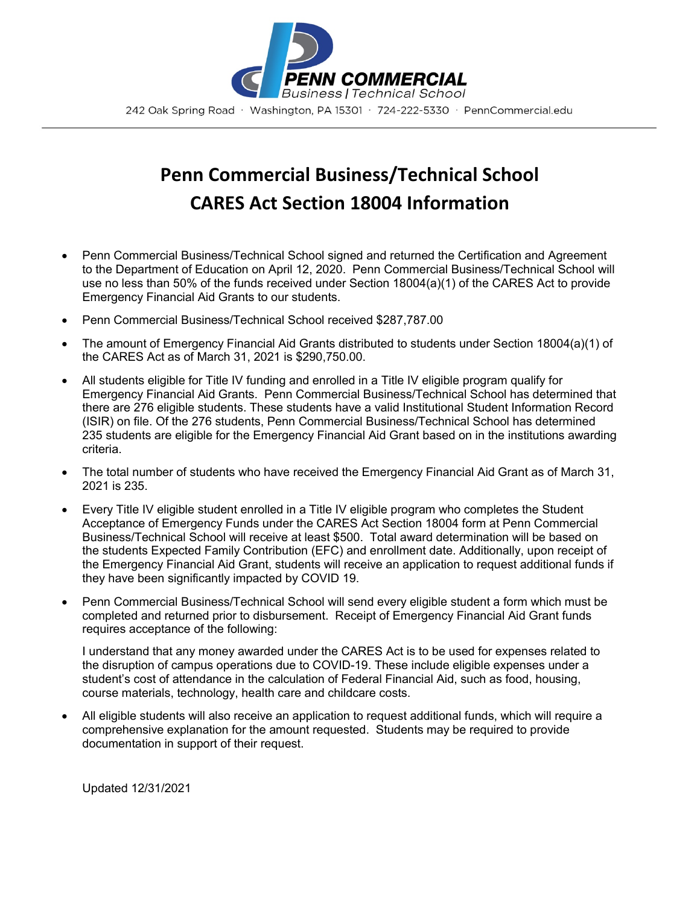

## **Penn Commercial Business/Technical School CARES Act Section 18004 Information**

- Penn Commercial Business/Technical School signed and returned the Certification and Agreement to the Department of Education on April 12, 2020. Penn Commercial Business/Technical School will use no less than 50% of the funds received under Section 18004(a)(1) of the CARES Act to provide Emergency Financial Aid Grants to our students.
- Penn Commercial Business/Technical School received \$287,787.00
- The amount of Emergency Financial Aid Grants distributed to students under Section 18004(a)(1) of the CARES Act as of March 31, 2021 is \$290,750.00.
- All students eligible for Title IV funding and enrolled in a Title IV eligible program qualify for Emergency Financial Aid Grants. Penn Commercial Business/Technical School has determined that there are 276 eligible students. These students have a valid Institutional Student Information Record (ISIR) on file. Of the 276 students, Penn Commercial Business/Technical School has determined 235 students are eligible for the Emergency Financial Aid Grant based on in the institutions awarding criteria.
- The total number of students who have received the Emergency Financial Aid Grant as of March 31, 2021 is 235.
- Every Title IV eligible student enrolled in a Title IV eligible program who completes the Student Acceptance of Emergency Funds under the CARES Act Section 18004 form at Penn Commercial Business/Technical School will receive at least \$500. Total award determination will be based on the students Expected Family Contribution (EFC) and enrollment date. Additionally, upon receipt of the Emergency Financial Aid Grant, students will receive an application to request additional funds if they have been significantly impacted by COVID 19.
- Penn Commercial Business/Technical School will send every eligible student a form which must be completed and returned prior to disbursement. Receipt of Emergency Financial Aid Grant funds requires acceptance of the following:

I understand that any money awarded under the CARES Act is to be used for expenses related to the disruption of campus operations due to COVID-19. These include eligible expenses under a student's cost of attendance in the calculation of Federal Financial Aid, such as food, housing, course materials, technology, health care and childcare costs.

• All eligible students will also receive an application to request additional funds, which will require a comprehensive explanation for the amount requested. Students may be required to provide documentation in support of their request.

Updated 12/31/2021